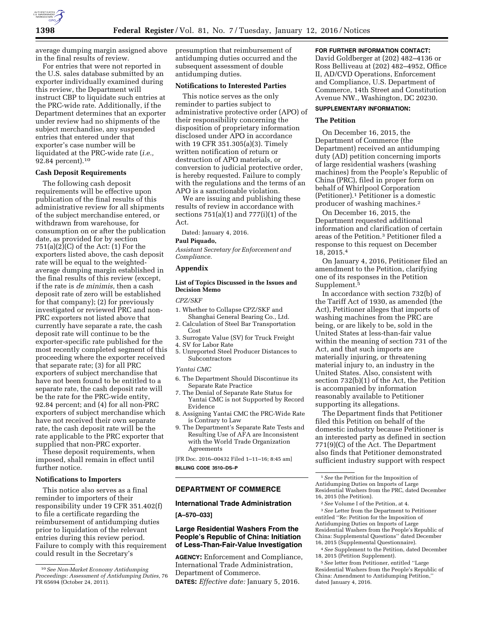

average dumping margin assigned above in the final results of review.

For entries that were not reported in the U.S. sales database submitted by an exporter individually examined during this review, the Department will instruct CBP to liquidate such entries at the PRC-wide rate. Additionally, if the Department determines that an exporter under review had no shipments of the subject merchandise, any suspended entries that entered under that exporter's case number will be liquidated at the PRC-wide rate (*i.e.,*  92.84 percent).10

# **Cash Deposit Requirements**

The following cash deposit requirements will be effective upon publication of the final results of this administrative review for all shipments of the subject merchandise entered, or withdrawn from warehouse, for consumption on or after the publication date, as provided for by section  $751(a)(2)(C)$  of the Act:  $(1)$  For the exporters listed above, the cash deposit rate will be equal to the weightedaverage dumping margin established in the final results of this review (except, if the rate is *de minimis,* then a cash deposit rate of zero will be established for that company); (2) for previously investigated or reviewed PRC and non-PRC exporters not listed above that currently have separate a rate, the cash deposit rate will continue to be the exporter-specific rate published for the most recently completed segment of this proceeding where the exporter received that separate rate; (3) for all PRC exporters of subject merchandise that have not been found to be entitled to a separate rate, the cash deposit rate will be the rate for the PRC-wide entity, 92.84 percent; and (4) for all non-PRC exporters of subject merchandise which have not received their own separate rate, the cash deposit rate will be the rate applicable to the PRC exporter that supplied that non-PRC exporter.

These deposit requirements, when imposed, shall remain in effect until further notice.

## **Notifications to Importers**

This notice also serves as a final reminder to importers of their responsibility under 19 CFR 351.402(f) to file a certificate regarding the reimbursement of antidumping duties prior to liquidation of the relevant entries during this review period. Failure to comply with this requirement could result in the Secretary's

presumption that reimbursement of antidumping duties occurred and the subsequent assessment of double antidumping duties.

# **Notifications to Interested Parties**

This notice serves as the only reminder to parties subject to administrative protective order (APO) of their responsibility concerning the disposition of proprietary information disclosed under APO in accordance with 19 CFR 351.305(a)(3). Timely written notification of return or destruction of APO materials, or conversion to judicial protective order, is hereby requested. Failure to comply with the regulations and the terms of an APO is a sanctionable violation.

We are issuing and publishing these results of review in accordance with sections 751(a)(1) and 777(i)(1) of the Act.

Dated: January 4, 2016.

## **Paul Piquado,**

*Assistant Secretary for Enforcement and Compliance.* 

# **Appendix**

## **List of Topics Discussed in the Issues and Decision Memo**

#### *CPZ/SKF*

- 1. Whether to Collapse CPZ/SKF and
- Shanghai General Bearing Co., Ltd. 2. Calculation of Steel Bar Transportation Cost
- 3. Surrogate Value (SV) for Truck Freight
- 4. SV for Labor Rate
- 5. Unreported Steel Producer Distances to Subcontractors

#### *Yantai CMC*

- 6. The Department Should Discontinue its Separate Rate Practice
- 7. The Denial of Separate Rate Status for Yantai CMC is not Supported by Record Evidence
- 8. Assigning Yantai CMC the PRC-Wide Rate is Contrary to Law
- 9. The Department's Separate Rate Tests and Resulting Use of AFA are Inconsistent with the World Trade Organization Agreements

[FR Doc. 2016–00432 Filed 1–11–16; 8:45 am] **BILLING CODE 3510–DS–P** 

## **DEPARTMENT OF COMMERCE**

## **International Trade Administration**

**[A–570–033]** 

# **Large Residential Washers From the People's Republic of China: Initiation of Less-Than-Fair-Value Investigation**

**AGENCY:** Enforcement and Compliance, International Trade Administration, Department of Commerce. **DATES:** *Effective date:* January 5, 2016.

# **FOR FURTHER INFORMATION CONTACT:**

David Goldberger at (202) 482–4136 or Ross Belliveau at (202) 482–4952, Office II, AD/CVD Operations, Enforcement and Compliance, U.S. Department of Commerce, 14th Street and Constitution Avenue NW., Washington, DC 20230.

# **SUPPLEMENTARY INFORMATION:**

# **The Petition**

On December 16, 2015, the Department of Commerce (the Department) received an antidumping duty (AD) petition concerning imports of large residential washers (washing machines) from the People's Republic of China (PRC), filed in proper form on behalf of Whirlpool Corporation (Petitioner).1 Petitioner is a domestic producer of washing machines.2

On December 16, 2015, the Department requested additional information and clarification of certain areas of the Petition.3 Petitioner filed a response to this request on December 18, 2015.4

On January 4, 2016, Petitioner filed an amendment to the Petition, clarifying one of its responses in the Petition Supplement.5

In accordance with section 732(b) of the Tariff Act of 1930, as amended (the Act), Petitioner alleges that imports of washing machines from the PRC are being, or are likely to be, sold in the United States at less-than-fair value within the meaning of section 731 of the Act, and that such imports are materially injuring, or threatening material injury to, an industry in the United States. Also, consistent with section 732(b)(1) of the Act, the Petition is accompanied by information reasonably available to Petitioner supporting its allegations.

The Department finds that Petitioner filed this Petition on behalf of the domestic industry because Petitioner is an interested party as defined in section 771(9)(C) of the Act. The Department also finds that Petitioner demonstrated sufficient industry support with respect

3*See* Letter from the Department to Petitioner entitled ''Re: Petition for the Imposition of Antidumping Duties on Imports of Large Residential Washers from the People's Republic of China: Supplemental Questions'' dated December 16, 2015 (Supplemental Questionnaire).

4*See* Supplement to the Petition, dated December 18, 2015 (Petition Supplement).

5*See* letter from Petitioner, entitled ''Large Residential Washers from the People's Republic of China: Amendment to Antidumping Petition,'' dated January 4, 2016.

<sup>10</sup>*See Non-Market Economy Antidumping Proceedings: Assessment of Antidumping Duties,* 76 FR 65694 (October 24, 2011).

<sup>1</sup>*See* the Petition for the Imposition of Antidumping Duties on Imports of Large Residential Washers from the PRC, dated December 16, 2015 (the Petition).

<sup>2</sup>*See* Volume I of the Petition, at 4.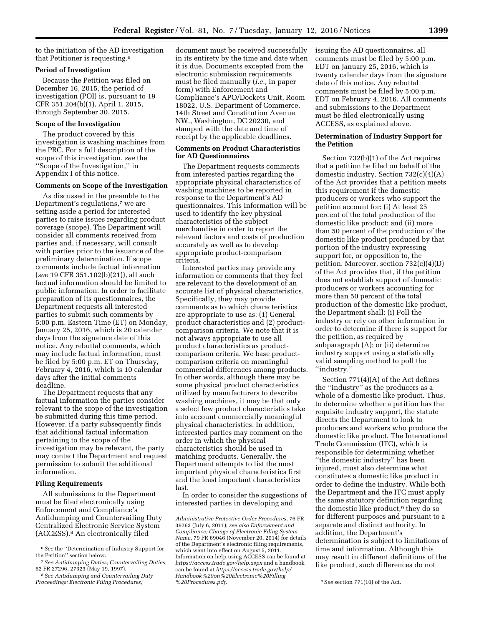to the initiation of the AD investigation that Petitioner is requesting.6

# **Period of Investigation**

Because the Petition was filed on December 16, 2015, the period of investigation (POI) is, pursuant to 19 CFR 351.204(b)(1), April 1, 2015, through September 30, 2015.

## **Scope of the Investigation**

The product covered by this investigation is washing machines from the PRC. For a full description of the scope of this investigation, *see* the ''Scope of the Investigation,'' in Appendix I of this notice.

# **Comments on Scope of the Investigation**

As discussed in the preamble to the Department's regulations,<sup>7</sup> we are setting aside a period for interested parties to raise issues regarding product coverage (scope). The Department will consider all comments received from parties and, if necessary, will consult with parties prior to the issuance of the preliminary determination. If scope comments include factual information (*see* 19 CFR 351.102(b)(21)), all such factual information should be limited to public information. In order to facilitate preparation of its questionnaires, the Department requests all interested parties to submit such comments by 5:00 p.m. Eastern Time (ET) on Monday, January 25, 2016, which is 20 calendar days from the signature date of this notice. Any rebuttal comments, which may include factual information, must be filed by 5:00 p.m. ET on Thursday, February 4, 2016, which is 10 calendar days after the initial comments deadline.

The Department requests that any factual information the parties consider relevant to the scope of the investigation be submitted during this time period. However, if a party subsequently finds that additional factual information pertaining to the scope of the investigation may be relevant, the party may contact the Department and request permission to submit the additional information.

## **Filing Requirements**

All submissions to the Department must be filed electronically using Enforcement and Compliance's Antidumping and Countervailing Duty Centralized Electronic Service System (ACCESS).8 An electronically filed

document must be received successfully in its entirety by the time and date when it is due. Documents excepted from the electronic submission requirements must be filed manually (*i.e.,* in paper form) with Enforcement and Compliance's APO/Dockets Unit, Room 18022, U.S. Department of Commerce, 14th Street and Constitution Avenue NW., Washington, DC 20230, and stamped with the date and time of receipt by the applicable deadlines.

## **Comments on Product Characteristics for AD Questionnaires**

The Department requests comments from interested parties regarding the appropriate physical characteristics of washing machines to be reported in response to the Department's AD questionnaires. This information will be used to identify the key physical characteristics of the subject merchandise in order to report the relevant factors and costs of production accurately as well as to develop appropriate product-comparison criteria.

Interested parties may provide any information or comments that they feel are relevant to the development of an accurate list of physical characteristics. Specifically, they may provide comments as to which characteristics are appropriate to use as: (1) General product characteristics and (2) productcomparison criteria. We note that it is not always appropriate to use all product characteristics as productcomparison criteria. We base productcomparison criteria on meaningful commercial differences among products. In other words, although there may be some physical product characteristics utilized by manufacturers to describe washing machines, it may be that only a select few product characteristics take into account commercially meaningful physical characteristics. In addition, interested parties may comment on the order in which the physical characteristics should be used in matching products. Generally, the Department attempts to list the most important physical characteristics first and the least important characteristics last.

In order to consider the suggestions of interested parties in developing and

issuing the AD questionnaires, all comments must be filed by 5:00 p.m. EDT on January 25, 2016, which is twenty calendar days from the signature date of this notice. Any rebuttal comments must be filed by 5:00 p.m. EDT on February 4, 2016. All comments and submissions to the Department must be filed electronically using ACCESS, as explained above.

# **Determination of Industry Support for the Petition**

Section 732(b)(1) of the Act requires that a petition be filed on behalf of the domestic industry. Section 732(c)(4)(A) of the Act provides that a petition meets this requirement if the domestic producers or workers who support the petition account for: (i) At least 25 percent of the total production of the domestic like product; and (ii) more than 50 percent of the production of the domestic like product produced by that portion of the industry expressing support for, or opposition to, the petition. Moreover, section 732(c)(4)(D) of the Act provides that, if the petition does not establish support of domestic producers or workers accounting for more than 50 percent of the total production of the domestic like product, the Department shall: (i) Poll the industry or rely on other information in order to determine if there is support for the petition, as required by subparagraph (A); or (ii) determine industry support using a statistically valid sampling method to poll the ''industry.''

Section 771(4)(A) of the Act defines the ''industry'' as the producers as a whole of a domestic like product. Thus, to determine whether a petition has the requisite industry support, the statute directs the Department to look to producers and workers who produce the domestic like product. The International Trade Commission (ITC), which is responsible for determining whether ''the domestic industry'' has been injured, must also determine what constitutes a domestic like product in order to define the industry. While both the Department and the ITC must apply the same statutory definition regarding the domestic like product,<sup>9</sup> they do so for different purposes and pursuant to a separate and distinct authority. In addition, the Department's determination is subject to limitations of time and information. Although this may result in different definitions of the like product, such differences do not

<sup>6</sup>*See* the ''Determination of Industry Support for the Petition'' section below.

<sup>7</sup>*See Antidumping Duties; Countervailing Duties,*  62 FR 27296, 27323 (May 19, 1997).

<sup>8</sup>*See Antidumping and Countervailing Duty Proceedings: Electronic Filing Procedures;* 

*Administrative Protective Order Procedures,* 76 FR 39263 (July 6, 2011); *see also Enforcement and Compliance; Change of Electronic Filing System Name,* 79 FR 69046 (November 20, 2014) for details of the Department's electronic filing requirements, which went into effect on August 5, 2011. Information on help using ACCESS can be found at *<https://access.trade.gov/help.aspx>* and a handbook can be found at *[https://access.trade.gov/help/](https://access.trade.gov/help/Handbook%20on%20Electronic%20Filling%20Procedures.pdf) [Handbook%20on%20Electronic%20Filling](https://access.trade.gov/help/Handbook%20on%20Electronic%20Filling%20Procedures.pdf)*

*[<sup>%20</sup>Procedures.pdf.](https://access.trade.gov/help/Handbook%20on%20Electronic%20Filling%20Procedures.pdf)* 9S*ee* section 771(10) of the Act.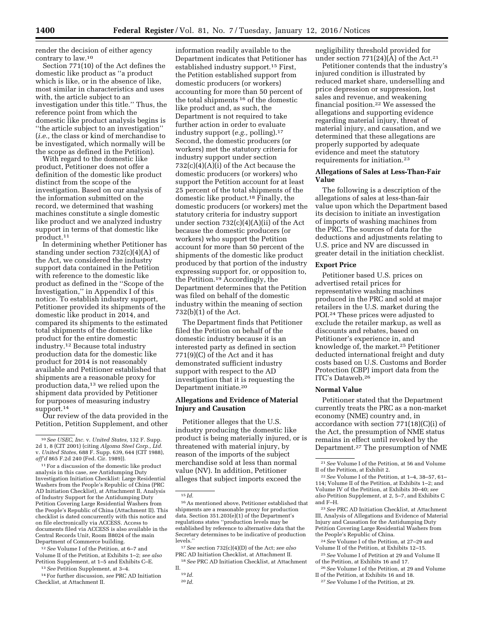render the decision of either agency contrary to law.10

Section 771(10) of the Act defines the domestic like product as ''a product which is like, or in the absence of like, most similar in characteristics and uses with, the article subject to an investigation under this title.'' Thus, the reference point from which the domestic like product analysis begins is ''the article subject to an investigation'' (*i.e.,* the class or kind of merchandise to be investigated, which normally will be the scope as defined in the Petition).

With regard to the domestic like product, Petitioner does not offer a definition of the domestic like product distinct from the scope of the investigation. Based on our analysis of the information submitted on the record, we determined that washing machines constitute a single domestic like product and we analyzed industry support in terms of that domestic like product.11

In determining whether Petitioner has standing under section 732(c)(4)(A) of the Act, we considered the industry support data contained in the Petition with reference to the domestic like product as defined in the ''Scope of the Investigation,'' in Appendix I of this notice. To establish industry support, Petitioner provided its shipments of the domestic like product in 2014, and compared its shipments to the estimated total shipments of the domestic like product for the entire domestic industry.12 Because total industry production data for the domestic like product for 2014 is not reasonably available and Petitioner established that shipments are a reasonable proxy for production data,13 we relied upon the shipment data provided by Petitioner for purposes of measuring industry support.14

Our review of the data provided in the Petition, Petition Supplement, and other

12*See* Volume I of the Petition, at 6–7 and Volume II of the Petition, at Exhibits 1–2; *see also*  Petition Supplement, at 1–5 and Exhibits C–E.

13*See* Petition Supplement, at 3–4.

14For further discussion, *see* PRC AD Initiation Checklist, at Attachment II.

information readily available to the Department indicates that Petitioner has established industry support.15 First, the Petition established support from domestic producers (or workers) accounting for more than 50 percent of the total shipments 16 of the domestic like product and, as such, the Department is not required to take further action in order to evaluate industry support (*e.g.,* polling).17 Second, the domestic producers (or workers) met the statutory criteria for industry support under section  $732(c)(4)(A)(i)$  of the Act because the domestic producers (or workers) who support the Petition account for at least 25 percent of the total shipments of the domestic like product.18 Finally, the domestic producers (or workers) met the statutory criteria for industry support under section  $732(c)(4)(A)(ii)$  of the Act because the domestic producers (or workers) who support the Petition account for more than 50 percent of the shipments of the domestic like product produced by that portion of the industry expressing support for, or opposition to, the Petition.19 Accordingly, the Department determines that the Petition was filed on behalf of the domestic industry within the meaning of section 732(b)(1) of the Act.

The Department finds that Petitioner filed the Petition on behalf of the domestic industry because it is an interested party as defined in section 771(9)(C) of the Act and it has demonstrated sufficient industry support with respect to the AD investigation that it is requesting the Department initiate.20

# **Allegations and Evidence of Material Injury and Causation**

Petitioner alleges that the U.S. industry producing the domestic like product is being materially injured, or is threatened with material injury, by reason of the imports of the subject merchandise sold at less than normal value (NV). In addition, Petitioner alleges that subject imports exceed the

17*See* section 732(c)(4)(D) of the Act; *see also*  PRC AD Initiation Checklist, at Attachment II.

18*See* PRC AD Initiation Checklist, at Attachment II.

negligibility threshold provided for under section  $771(24)(\overline{A})$  of the Act.<sup>21</sup>

Petitioner contends that the industry's injured condition is illustrated by reduced market share, underselling and price depression or suppression, lost sales and revenue, and weakening financial position.22 We assessed the allegations and supporting evidence regarding material injury, threat of material injury, and causation, and we determined that these allegations are properly supported by adequate evidence and meet the statutory requirements for initiation.23

# **Allegations of Sales at Less-Than-Fair Value**

The following is a description of the allegations of sales at less-than-fair value upon which the Department based its decision to initiate an investigation of imports of washing machines from the PRC. The sources of data for the deductions and adjustments relating to U.S. price and NV are discussed in greater detail in the initiation checklist.

## **Export Price**

Petitioner based U.S. prices on advertised retail prices for representative washing machines produced in the PRC and sold at major retailers in the U.S. market during the POI.24 These prices were adjusted to exclude the retailer markup, as well as discounts and rebates, based on Petitioner's experience in, and knowledge of, the market.25 Petitioner deducted international freight and duty costs based on U.S. Customs and Border Protection (CBP) import data from the ITC's Dataweb.26

# **Normal Value**

Petitioner stated that the Department currently treats the PRC as a non-market economy (NME) country and, in accordance with section 771(18)(C)(i) of the Act, the presumption of NME status remains in effect until revoked by the Department.27 The presumption of NME

24*See* Volume I of the Petition, at 27–29 and Volume II of the Petition, at Exhibits 12–15.

25*See* Volume I of Petition at 29 and Volume II of the Petition, at Exhibits 16 and 17.

26*See* Volume I of the Petition, at 29 and Volume II of the Petition, at Exhibits 16 and 18.

27*See* Volume I of the Petition, at 29.

<sup>10</sup>*See USEC, Inc.* v. *United States,* 132 F. Supp. 2d 1, 8 (CIT 2001) (citing *Algoma Steel Corp., Ltd.*  v. *United States,* 688 F. Supp. 639, 644 (CIT 1988), *aff'd* 865 F.2d 240 (Fed. Cir. 1989)).

<sup>11</sup>For a discussion of the domestic like product analysis in this case, *see* Antidumping Duty Investigation Initiation Checklist: Large Residential Washers from the People's Republic of China (PRC AD Initiation Checklist), at Attachment II, Analysis of Industry Support for the Antidumping Duty Petition Covering Large Residential Washers from the People's Republic of China (Attachment II). This checklist is dated concurrently with this notice and on file electronically via ACCESS. Access to documents filed via ACCESS is also available in the Central Records Unit, Room B8024 of the main Department of Commerce building.

 $\overline{15}$  *Id.* 

<sup>16</sup>As mentioned above, Petitioner established that shipments are a reasonable proxy for production data. Section 351.203(e)(1) of the Department's regulations states ''production levels may be established by reference to alternative data that the Secretary determines to be indicative of production levels.''

<sup>19</sup> *Id.*  20 *Id.* 

<sup>21</sup>*See* Volume I of the Petition, at 56 and Volume II of the Petition, at Exhibit 2.

<sup>22</sup>*See* Volume I of the Petition, at 1–4, 38–57, 61– 114; Volume II of the Petition, at Exhibits 1–2; and Volume IV of the Petition, at Exhibits 30–40; *see also* Petition Supplement, at 2, 5–7, and Exhibits C and F–H.

<sup>23</sup>*See* PRC AD Initiation Checklist, at Attachment III, Analysis of Allegations and Evidence of Material Injury and Causation for the Antidumping Duty Petition Covering Large Residential Washers from the People's Republic of China.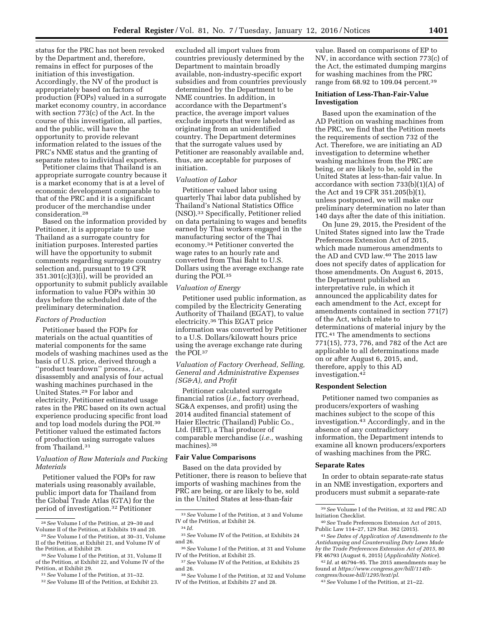status for the PRC has not been revoked by the Department and, therefore, remains in effect for purposes of the initiation of this investigation. Accordingly, the NV of the product is appropriately based on factors of production (FOPs) valued in a surrogate market economy country, in accordance with section 773(c) of the Act. In the course of this investigation, all parties, and the public, will have the opportunity to provide relevant information related to the issues of the PRC's NME status and the granting of separate rates to individual exporters.

Petitioner claims that Thailand is an appropriate surrogate country because it is a market economy that is at a level of economic development comparable to that of the PRC and it is a significant producer of the merchandise under consideration.28

Based on the information provided by Petitioner, it is appropriate to use Thailand as a surrogate country for initiation purposes. Interested parties will have the opportunity to submit comments regarding surrogate country selection and, pursuant to 19 CFR 351.301(c)(3)(i), will be provided an opportunity to submit publicly available information to value FOPs within 30 days before the scheduled date of the preliminary determination.

#### *Factors of Production*

Petitioner based the FOPs for materials on the actual quantities of material components for the same models of washing machines used as the basis of U.S. price, derived through a ''product teardown'' process, *i.e.,*  disassembly and analysis of four actual washing machines purchased in the United States.29 For labor and electricity, Petitioner estimated usage rates in the PRC based on its own actual experience producing specific front load and top load models during the POI.30 Petitioner valued the estimated factors of production using surrogate values from Thailand.<sup>31</sup>

## *Valuation of Raw Materials and Packing Materials*

Petitioner valued the FOPs for raw materials using reasonably available, public import data for Thailand from the Global Trade Atlas (GTA) for the period of investigation.32 Petitioner

excluded all import values from countries previously determined by the Department to maintain broadly available, non-industry-specific export subsidies and from countries previously determined by the Department to be NME countries. In addition, in accordance with the Department's practice, the average import values exclude imports that were labeled as originating from an unidentified country. The Department determines that the surrogate values used by Petitioner are reasonably available and, thus, are acceptable for purposes of initiation.

#### *Valuation of Labor*

Petitioner valued labor using quarterly Thai labor data published by Thailand's National Statistics Office (NSO).33 Specifically, Petitioner relied on data pertaining to wages and benefits earned by Thai workers engaged in the manufacturing sector of the Thai economy.34 Petitioner converted the wage rates to an hourly rate and converted from Thai Baht to U.S. Dollars using the average exchange rate during the POI.35

## *Valuation of Energy*

Petitioner used public information, as compiled by the Electricity Generating Authority of Thailand (EGAT), to value electricity.36 This EGAT price information was converted by Petitioner to a U.S. Dollars/kilowatt hours price using the average exchange rate during the POI.37

# *Valuation of Factory Overhead, Selling, General and Administrative Expenses (SG&A), and Profit*

Petitioner calculated surrogate financial ratios (*i.e.,* factory overhead, SG&A expenses, and profit) using the 2014 audited financial statement of Haier Electric (Thailand) Public Co., Ltd. (HET), a Thai producer of comparable merchandise (*i.e.,* washing machines).38

# **Fair Value Comparisons**

Based on the data provided by Petitioner, there is reason to believe that imports of washing machines from the PRC are being, or are likely to be, sold in the United States at less-than-fair

value. Based on comparisons of EP to NV, in accordance with section 773(c) of the Act, the estimated dumping margins for washing machines from the PRC range from 68.92 to 109.04 percent.39

# **Initiation of Less-Than-Fair-Value Investigation**

Based upon the examination of the AD Petition on washing machines from the PRC, we find that the Petition meets the requirements of section 732 of the Act. Therefore, we are initiating an AD investigation to determine whether washing machines from the PRC are being, or are likely to be, sold in the United States at less-than-fair value. In accordance with section 733(b)(1)(A) of the Act and 19 CFR 351.205(b)(1), unless postponed, we will make our preliminary determination no later than 140 days after the date of this initiation.

On June 29, 2015, the President of the United States signed into law the Trade Preferences Extension Act of 2015, which made numerous amendments to the AD and CVD law.40 The 2015 law does not specify dates of application for those amendments. On August 6, 2015, the Department published an interpretative rule, in which it announced the applicability dates for each amendment to the Act, except for amendments contained in section 771(7) of the Act, which relate to determinations of material injury by the ITC.41 The amendments to sections 771(15), 773, 776, and 782 of the Act are applicable to all determinations made on or after August 6, 2015, and, therefore, apply to this AD investigation.42

## **Respondent Selection**

Petitioner named two companies as producers/exporters of washing machines subject to the scope of this investigation.43 Accordingly, and in the absence of any contradictory information, the Department intends to examine all known producers/exporters of washing machines from the PRC.

## **Separate Rates**

In order to obtain separate-rate status in an NME investigation, exporters and producers must submit a separate-rate

42 *Id.* at 46794–95. The 2015 amendments may be found at *[https://www.congress.gov/bill/114th](https://www.congress.gov/bill/114th-congress/house-bill/1295/text/pl)[congress/house-bill/1295/text/pl](https://www.congress.gov/bill/114th-congress/house-bill/1295/text/pl)*.

<sup>28</sup>*See* Volume I of the Petition, at 29–30 and

<sup>&</sup>lt;sup>29</sup> See Volume I of the Petition, at 30–31, Volume II of the Petition, at Exhibit 21, and Volume IV of

<sup>&</sup>lt;sup>30</sup> See Volume I of the Petition, at 31, Volume II of the Petition, at Exhibit 22, and Volume IV of the

<sup>&</sup>lt;sup>31</sup> See Volume I of the Petition, at 31–32.<br><sup>32</sup> See Volume III of the Petition, at Exhibit 23.

<sup>33</sup>*See* Volume I of the Petition, at 3 and Volume IV of the Petition, at Exhibit 24.

<sup>34</sup> *Id.* 

<sup>35</sup>*See* Volume IV of the Petition, at Exhibits 24 and 26.

<sup>36</sup>*See* Volume I of the Petition, at 31 and Volume IV of the Petition, at Exhibit 25.

<sup>37</sup>*See* Volume IV of the Petition, at Exhibits 25 and 26.

<sup>38</sup>*See* Volume I of the Petition, at 32 and Volume IV of the Petition, at Exhibits 27 and 28.

<sup>39</sup>*See* Volume I of the Petition, at 32 and PRC AD Initiation Checklist.

<sup>40</sup>*See* Trade Preferences Extension Act of 2015, Public Law 114–27, 129 Stat. 362 (2015).

<sup>41</sup>*See Dates of Application of Amendments to the Antidumping and Countervailing Duty Laws Made by the Trade Preferences Extension Act of 2015,* 80 FR 46793 (August 6, 2015) (*Applicability Notice*).

<sup>43</sup>*See* Volume I of the Petition, at 21–22.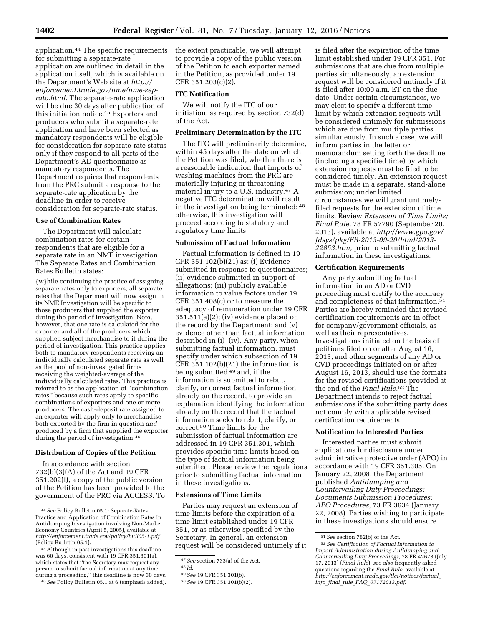application.44 The specific requirements for submitting a separate-rate application are outlined in detail in the application itself, which is available on the Department's Web site at *[http://](http://enforcement.trade.gov/nme/nme-sep-rate.html) [enforcement.trade.gov/nme/nme-sep](http://enforcement.trade.gov/nme/nme-sep-rate.html)[rate.html](http://enforcement.trade.gov/nme/nme-sep-rate.html)*. The separate-rate application will be due 30 days after publication of this initiation notice.45 Exporters and producers who submit a separate-rate application and have been selected as mandatory respondents will be eligible for consideration for separate-rate status only if they respond to all parts of the Department's AD questionnaire as mandatory respondents. The Department requires that respondents from the PRC submit a response to the separate-rate application by the deadline in order to receive consideration for separate-rate status.

## **Use of Combination Rates**

The Department will calculate combination rates for certain respondents that are eligible for a separate rate in an NME investigation. The Separate Rates and Combination Rates Bulletin states:

{w}hile continuing the practice of assigning separate rates only to exporters, all separate rates that the Department will now assign in its NME Investigation will be specific to those producers that supplied the exporter during the period of investigation. Note, however, that one rate is calculated for the exporter and all of the producers which supplied subject merchandise to it during the period of investigation. This practice applies both to mandatory respondents receiving an individually calculated separate rate as well as the pool of non-investigated firms receiving the weighted-average of the individually calculated rates. This practice is referred to as the application of ''combination rates'' because such rates apply to specific combinations of exporters and one or more producers. The cash-deposit rate assigned to an exporter will apply only to merchandise both exported by the firm in question *and*  produced by a firm that supplied the exporter during the period of investigation.46

## **Distribution of Copies of the Petition**

In accordance with section 732(b)(3)(A) of the Act and 19 CFR 351.202(f), a copy of the public version of the Petition has been provided to the government of the PRC via ACCESS. To

46*See* Policy Bulletin 05.1 at 6 (emphasis added).

the extent practicable, we will attempt to provide a copy of the public version of the Petition to each exporter named in the Petition, as provided under 19 CFR 351.203(c)(2).

# **ITC Notification**

We will notify the ITC of our initiation, as required by section 732(d) of the Act.

#### **Preliminary Determination by the ITC**

The ITC will preliminarily determine, within 45 days after the date on which the Petition was filed, whether there is a reasonable indication that imports of washing machines from the PRC are materially injuring or threatening material injury to a U.S. industry.47 A negative ITC determination will result in the investigation being terminated; 48 otherwise, this investigation will proceed according to statutory and regulatory time limits.

# **Submission of Factual Information**

Factual information is defined in 19 CFR 351.102(b)(21) as: (i) Evidence submitted in response to questionnaires; (ii) evidence submitted in support of allegations; (iii) publicly available information to value factors under 19 CFR 351.408(c) or to measure the adequacy of remuneration under 19 CFR  $351.511(a)(2)$ ; (iv) evidence placed on the record by the Department; and (v) evidence other than factual information described in (i)–(iv). Any party, when submitting factual information, must specify under which subsection of 19 CFR 351.102(b)(21) the information is being submitted 49 and, if the information is submitted to rebut, clarify, or correct factual information already on the record, to provide an explanation identifying the information already on the record that the factual information seeks to rebut, clarify, or correct.50 Time limits for the submission of factual information are addressed in 19 CFR 351.301, which provides specific time limits based on the type of factual information being submitted. Please review the regulations prior to submitting factual information in these investigations.

# **Extensions of Time Limits**

Parties may request an extension of time limits before the expiration of a time limit established under 19 CFR 351, or as otherwise specified by the Secretary. In general, an extension request will be considered untimely if it

is filed after the expiration of the time limit established under 19 CFR 351. For submissions that are due from multiple parties simultaneously, an extension request will be considered untimely if it is filed after 10:00 a.m. ET on the due date. Under certain circumstances, we may elect to specify a different time limit by which extension requests will be considered untimely for submissions which are due from multiple parties simultaneously. In such a case, we will inform parties in the letter or memorandum setting forth the deadline (including a specified time) by which extension requests must be filed to be considered timely. An extension request must be made in a separate, stand-alone submission; under limited circumstances we will grant untimelyfiled requests for the extension of time limits. Review *Extension of Time Limits; Final Rule,* 78 FR 57790 (September 20, 2013), available at *[http://www.gpo.gov/](http://www.gpo.gov/fdsys/pkg/FR-2013-09-20/html/2013-22853.htm) [fdsys/pkg/FR-2013-09-20/html/2013-](http://www.gpo.gov/fdsys/pkg/FR-2013-09-20/html/2013-22853.htm)  [22853.htm,](http://www.gpo.gov/fdsys/pkg/FR-2013-09-20/html/2013-22853.htm)* prior to submitting factual information in these investigations.

## **Certification Requirements**

Any party submitting factual information in an AD or CVD proceeding must certify to the accuracy and completeness of that information.51 Parties are hereby reminded that revised certification requirements are in effect for company/government officials, as well as their representatives. Investigations initiated on the basis of petitions filed on or after August 16, 2013, and other segments of any AD or CVD proceedings initiated on or after August 16, 2013, should use the formats for the revised certifications provided at the end of the *Final Rule*.52 The Department intends to reject factual submissions if the submitting party does not comply with applicable revised certification requirements.

## **Notification to Interested Parties**

Interested parties must submit applications for disclosure under administrative protective order (APO) in accordance with 19 CFR 351.305. On January 22, 2008, the Department published *Antidumping and Countervailing Duty Proceedings: Documents Submission Procedures; APO Procedures,* 73 FR 3634 (January 22, 2008). Parties wishing to participate in these investigations should ensure

<sup>44</sup>*See* Policy Bulletin 05.1: Separate-Rates Practice and Application of Combination Rates in Antidumping Investigation involving Non-Market Economy Countries (April 5, 2005), available at *<http://enforcement.trade.gov/policy/bull05-1.pdf>* (Policy Bulletin 05.1).

<sup>45</sup>Although in past investigations this deadline was 60 days, consistent with 19 CFR 351.301(a), which states that ''the Secretary may request any person to submit factual information at any time during a proceeding,'' this deadline is now 30 days.

<sup>47</sup>*See* section 733(a) of the Act.

<sup>48</sup> *Id.* 

<sup>49</sup>*See* 19 CFR 351.301(b).

<sup>50</sup>*See* 19 CFR 351.301(b)(2).

<sup>51</sup>*See* section 782(b) of the Act.

<sup>52</sup>*See Certification of Factual Information to Import Administration during Antidumping and Countervailing Duty Proceedings,* 78 FR 42678 (July 17, 2013) (*Final Rule*); *see also* frequently asked questions regarding the *Final Rule,* available at *[http://enforcement.trade.gov/tlei/notices/factual](http://enforcement.trade.gov/tlei/notices/factual_info_final_rule_FAQ_07172013.pdf)*\_ *info*\_*final*\_*rule*\_*FAQ*\_*[07172013.pdf](http://enforcement.trade.gov/tlei/notices/factual_info_final_rule_FAQ_07172013.pdf)*.